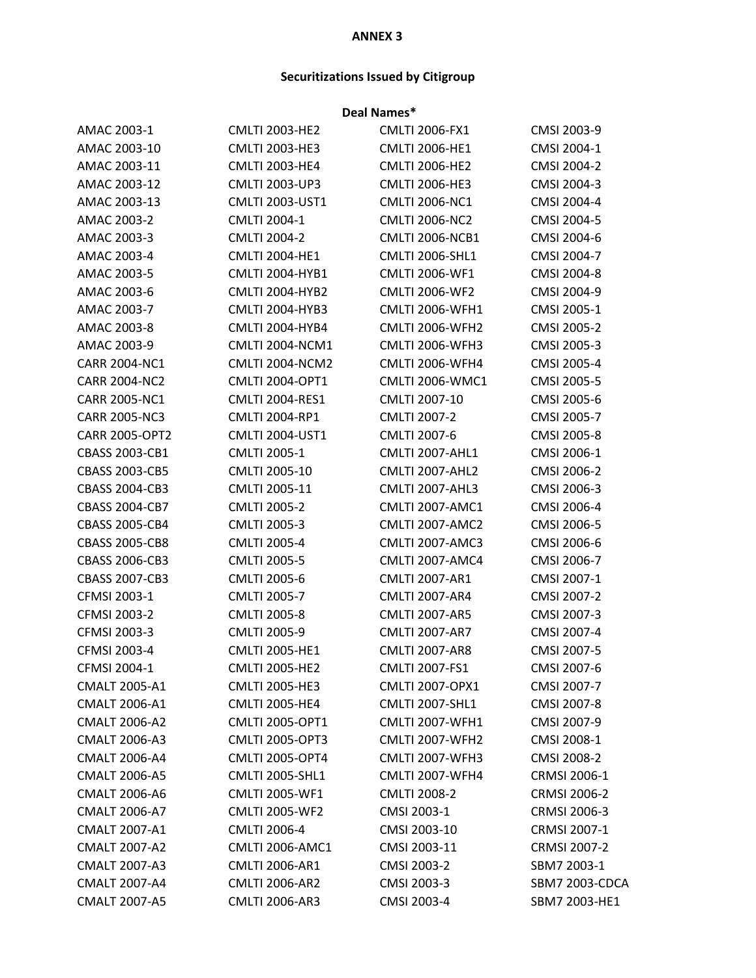## **Securitizations Issued by Citigroup**

| Deal Names*           |                        |                        |                       |  |
|-----------------------|------------------------|------------------------|-----------------------|--|
| AMAC 2003-1           | <b>CMLTI 2003-HE2</b>  | <b>CMLTI 2006-FX1</b>  | CMSI 2003-9           |  |
| AMAC 2003-10          | <b>CMLTI 2003-HE3</b>  | CMLTI 2006-HE1         | CMSI 2004-1           |  |
| AMAC 2003-11          | <b>CMLTI 2003-HE4</b>  | <b>CMLTI 2006-HE2</b>  | CMSI 2004-2           |  |
| AMAC 2003-12          | CMLTI 2003-UP3         | <b>CMLTI 2006-HE3</b>  | CMSI 2004-3           |  |
| AMAC 2003-13          | <b>CMLTI 2003-UST1</b> | <b>CMLTI 2006-NC1</b>  | CMSI 2004-4           |  |
| AMAC 2003-2           | CMLTI 2004-1           | <b>CMLTI 2006-NC2</b>  | CMSI 2004-5           |  |
| AMAC 2003-3           | <b>CMLTI 2004-2</b>    | <b>CMLTI 2006-NCB1</b> | CMSI 2004-6           |  |
| AMAC 2003-4           | CMLTI 2004-HE1         | <b>CMLTI 2006-SHL1</b> | CMSI 2004-7           |  |
| AMAC 2003-5           | <b>CMLTI 2004-HYB1</b> | CMLTI 2006-WF1         | CMSI 2004-8           |  |
| AMAC 2003-6           | <b>CMLTI 2004-HYB2</b> | <b>CMLTI 2006-WF2</b>  | CMSI 2004-9           |  |
| AMAC 2003-7           | <b>CMLTI 2004-HYB3</b> | <b>CMLTI 2006-WFH1</b> | CMSI 2005-1           |  |
| AMAC 2003-8           | <b>CMLTI 2004-HYB4</b> | <b>CMLTI 2006-WFH2</b> | CMSI 2005-2           |  |
| AMAC 2003-9           | <b>CMLTI 2004-NCM1</b> | <b>CMLTI 2006-WFH3</b> | CMSI 2005-3           |  |
| <b>CARR 2004-NC1</b>  | <b>CMLTI 2004-NCM2</b> | <b>CMLTI 2006-WFH4</b> | CMSI 2005-4           |  |
| <b>CARR 2004-NC2</b>  | <b>CMLTI 2004-OPT1</b> | <b>CMLTI 2006-WMC1</b> | CMSI 2005-5           |  |
| <b>CARR 2005-NC1</b>  | <b>CMLTI 2004-RES1</b> | CMLTI 2007-10          | CMSI 2005-6           |  |
| <b>CARR 2005-NC3</b>  | <b>CMLTI 2004-RP1</b>  | <b>CMLTI 2007-2</b>    | CMSI 2005-7           |  |
| <b>CARR 2005-OPT2</b> | <b>CMLTI 2004-UST1</b> | CMLTI 2007-6           | CMSI 2005-8           |  |
| CBASS 2003-CB1        | CMLTI 2005-1           | <b>CMLTI 2007-AHL1</b> | CMSI 2006-1           |  |
| CBASS 2003-CB5        | CMLTI 2005-10          | <b>CMLTI 2007-AHL2</b> | CMSI 2006-2           |  |
| CBASS 2004-CB3        | CMLTI 2005-11          | <b>CMLTI 2007-AHL3</b> | CMSI 2006-3           |  |
| <b>CBASS 2004-CB7</b> | <b>CMLTI 2005-2</b>    | <b>CMLTI 2007-AMC1</b> | CMSI 2006-4           |  |
| <b>CBASS 2005-CB4</b> | CMLTI 2005-3           | <b>CMLTI 2007-AMC2</b> | CMSI 2006-5           |  |
| <b>CBASS 2005-CB8</b> | <b>CMLTI 2005-4</b>    | <b>CMLTI 2007-AMC3</b> | CMSI 2006-6           |  |
| CBASS 2006-CB3        | <b>CMLTI 2005-5</b>    | <b>CMLTI 2007-AMC4</b> | CMSI 2006-7           |  |
| CBASS 2007-CB3        | CMLTI 2005-6           | CMLTI 2007-AR1         | CMSI 2007-1           |  |
| CFMSI 2003-1          | <b>CMLTI 2005-7</b>    | <b>CMLTI 2007-AR4</b>  | CMSI 2007-2           |  |
| CFMSI 2003-2          | <b>CMLTI 2005-8</b>    | <b>CMLTI 2007-AR5</b>  | CMSI 2007-3           |  |
| CFMSI 2003-3          | CMLTI 2005-9           | <b>CMLTI 2007-AR7</b>  | CMSI 2007-4           |  |
| CFMSI 2003-4          | <b>CMLTI 2005-HE1</b>  | <b>CMLTI 2007-AR8</b>  | CMSI 2007-5           |  |
| CFMSI 2004-1          | <b>CMLTI 2005-HE2</b>  | CMLTI 2007-FS1         | CMSI 2007-6           |  |
| <b>CMALT 2005-A1</b>  | <b>CMLTI 2005-HE3</b>  | <b>CMLTI 2007-OPX1</b> | CMSI 2007-7           |  |
| <b>CMALT 2006-A1</b>  | <b>CMLTI 2005-HE4</b>  | <b>CMLTI 2007-SHL1</b> | CMSI 2007-8           |  |
| <b>CMALT 2006-A2</b>  | <b>CMLTI 2005-OPT1</b> | <b>CMLTI 2007-WFH1</b> | CMSI 2007-9           |  |
| <b>CMALT 2006-A3</b>  | <b>CMLTI 2005-OPT3</b> | <b>CMLTI 2007-WFH2</b> | CMSI 2008-1           |  |
| <b>CMALT 2006-A4</b>  | <b>CMLTI 2005-OPT4</b> | <b>CMLTI 2007-WFH3</b> | CMSI 2008-2           |  |
| <b>CMALT 2006-A5</b>  | <b>CMLTI 2005-SHL1</b> | <b>CMLTI 2007-WFH4</b> | CRMSI 2006-1          |  |
| <b>CMALT 2006-A6</b>  | <b>CMLTI 2005-WF1</b>  | <b>CMLTI 2008-2</b>    | <b>CRMSI 2006-2</b>   |  |
| <b>CMALT 2006-A7</b>  | <b>CMLTI 2005-WF2</b>  | CMSI 2003-1            | CRMSI 2006-3          |  |
| CMALT 2007-A1         | CMLTI 2006-4           | CMSI 2003-10           | CRMSI 2007-1          |  |
| <b>CMALT 2007-A2</b>  | <b>CMLTI 2006-AMC1</b> | CMSI 2003-11           | <b>CRMSI 2007-2</b>   |  |
| <b>CMALT 2007-A3</b>  | <b>CMLTI 2006-AR1</b>  | CMSI 2003-2            | SBM7 2003-1           |  |
| <b>CMALT 2007-A4</b>  | <b>CMLTI 2006-AR2</b>  | CMSI 2003-3            | <b>SBM7 2003-CDCA</b> |  |
| <b>CMALT 2007-A5</b>  | <b>CMLTI 2006-AR3</b>  | CMSI 2003-4            | SBM7 2003-HE1         |  |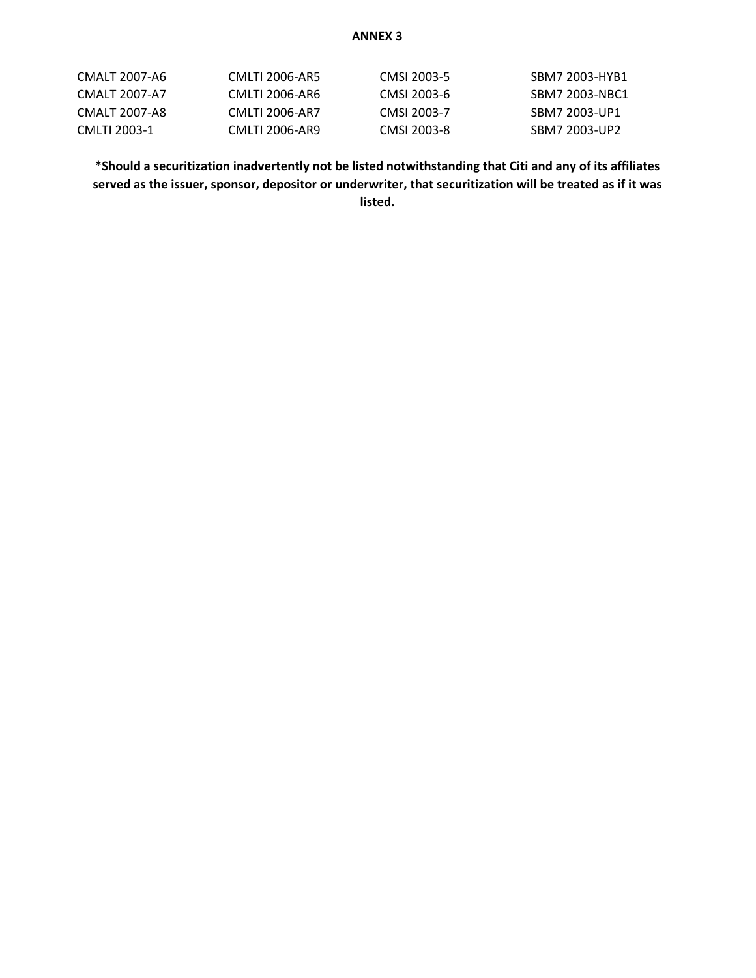| CMALT 2007-A6 | CMLTI 2006-AR5 | CMSL 2003-5 | SBM7 2003-HYB1 |
|---------------|----------------|-------------|----------------|
| CMALT 2007-A7 | CMLTI 2006-AR6 | CMSL 2003-6 | SBM7 2003-NBC1 |
| CMALT 2007-A8 | CMLTI 2006-AR7 | CMSL 2003-7 | SBM7 2003-UP1  |
| CMLTI 2003-1  | CMLTI 2006-AR9 | CMSL 2003-8 | SBM7 2003-UP2  |

**\*Should a securitization inadvertently not be listed notwithstanding that Citi and any of its affiliates served as the issuer, sponsor, depositor or underwriter, that securitization will be treated as if it was listed.**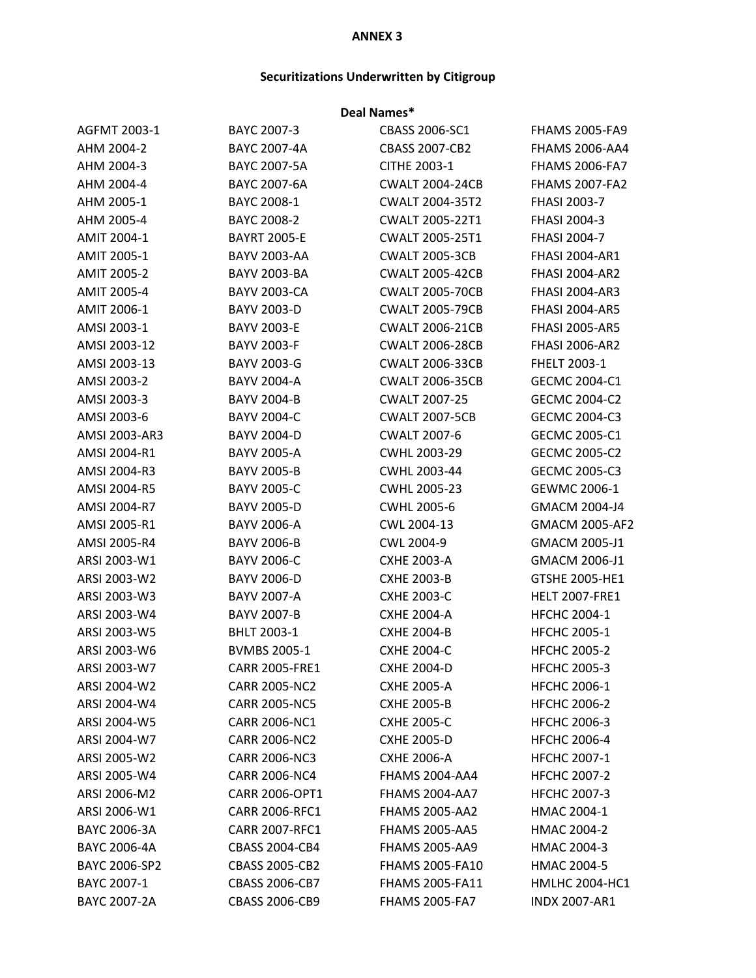# **Securitizations Underwritten by Citigroup**

| Deal Names*        |                       |                        |                       |
|--------------------|-----------------------|------------------------|-----------------------|
| AGFMT 2003-1       | BAYC 2007-3           | CBASS 2006-SC1         | <b>FHAMS 2005-FA9</b> |
| AHM 2004-2         | BAYC 2007-4A          | <b>CBASS 2007-CB2</b>  | <b>FHAMS 2006-AA4</b> |
| AHM 2004-3         | BAYC 2007-5A          | CITHE 2003-1           | <b>FHAMS 2006-FA7</b> |
| AHM 2004-4         | BAYC 2007-6A          | <b>CWALT 2004-24CB</b> | <b>FHAMS 2007-FA2</b> |
| AHM 2005-1         | BAYC 2008-1           | <b>CWALT 2004-35T2</b> | FHASI 2003-7          |
| AHM 2005-4         | BAYC 2008-2           | CWALT 2005-22T1        | FHASI 2004-3          |
| AMIT 2004-1        | <b>BAYRT 2005-E</b>   | <b>CWALT 2005-25T1</b> | FHASI 2004-7          |
| <b>AMIT 2005-1</b> | <b>BAYV 2003-AA</b>   | <b>CWALT 2005-3CB</b>  | <b>FHASI 2004-AR1</b> |
| <b>AMIT 2005-2</b> | <b>BAYV 2003-BA</b>   | <b>CWALT 2005-42CB</b> | <b>FHASI 2004-AR2</b> |
| <b>AMIT 2005-4</b> | <b>BAYV 2003-CA</b>   | <b>CWALT 2005-70CB</b> | <b>FHASI 2004-AR3</b> |
| AMIT 2006-1        | <b>BAYV 2003-D</b>    | <b>CWALT 2005-79CB</b> | <b>FHASI 2004-AR5</b> |
| AMSI 2003-1        | <b>BAYV 2003-E</b>    | <b>CWALT 2006-21CB</b> | <b>FHASI 2005-AR5</b> |
| AMSI 2003-12       | <b>BAYV 2003-F</b>    | <b>CWALT 2006-28CB</b> | <b>FHASI 2006-AR2</b> |
| AMSI 2003-13       | BAYV 2003-G           | <b>CWALT 2006-33CB</b> | FHELT 2003-1          |
| AMSI 2003-2        | <b>BAYV 2004-A</b>    | <b>CWALT 2006-35CB</b> | GECMC 2004-C1         |
| AMSI 2003-3        | <b>BAYV 2004-B</b>    | <b>CWALT 2007-25</b>   | <b>GECMC 2004-C2</b>  |
| AMSI 2003-6        | <b>BAYV 2004-C</b>    | <b>CWALT 2007-5CB</b>  | GECMC 2004-C3         |
| AMSI 2003-AR3      | <b>BAYV 2004-D</b>    | <b>CWALT 2007-6</b>    | GECMC 2005-C1         |
| AMSI 2004-R1       | <b>BAYV 2005-A</b>    | CWHL 2003-29           | <b>GECMC 2005-C2</b>  |
| AMSI 2004-R3       | <b>BAYV 2005-B</b>    | CWHL 2003-44           | GECMC 2005-C3         |
| AMSI 2004-R5       | <b>BAYV 2005-C</b>    | CWHL 2005-23           | GEWMC 2006-1          |
| AMSI 2004-R7       | <b>BAYV 2005-D</b>    | CWHL 2005-6            | <b>GMACM 2004-J4</b>  |
| AMSI 2005-R1       | <b>BAYV 2006-A</b>    | CWL 2004-13            | <b>GMACM 2005-AF2</b> |
| AMSI 2005-R4       | <b>BAYV 2006-B</b>    | CWL 2004-9             | GMACM 2005-J1         |
| ARSI 2003-W1       | <b>BAYV 2006-C</b>    | <b>CXHE 2003-A</b>     | GMACM 2006-J1         |
| ARSI 2003-W2       | <b>BAYV 2006-D</b>    | <b>CXHE 2003-B</b>     | GTSHE 2005-HE1        |
| ARSI 2003-W3       | <b>BAYV 2007-A</b>    | <b>CXHE 2003-C</b>     | <b>HELT 2007-FRE1</b> |
| ARSI 2003-W4       | <b>BAYV 2007-B</b>    | <b>CXHE 2004-A</b>     | <b>HFCHC 2004-1</b>   |
| ARSI 2003-W5       | BHLT 2003-1           | <b>CXHE 2004-B</b>     | <b>HFCHC 2005-1</b>   |
| ARSI 2003-W6       | <b>BVMBS 2005-1</b>   | <b>CXHE 2004-C</b>     | <b>HFCHC 2005-2</b>   |
| ARSI 2003-W7       | <b>CARR 2005-FRE1</b> | <b>CXHE 2004-D</b>     | <b>HFCHC 2005-3</b>   |
| ARSI 2004-W2       | <b>CARR 2005-NC2</b>  | <b>CXHE 2005-A</b>     | <b>HFCHC 2006-1</b>   |
| ARSI 2004-W4       | <b>CARR 2005-NC5</b>  | <b>CXHE 2005-B</b>     | <b>HFCHC 2006-2</b>   |
| ARSI 2004-W5       | CARR 2006-NC1         | <b>CXHE 2005-C</b>     | <b>HFCHC 2006-3</b>   |
| ARSI 2004-W7       | <b>CARR 2006-NC2</b>  | <b>CXHE 2005-D</b>     | <b>HFCHC 2006-4</b>   |
| ARSI 2005-W2       | <b>CARR 2006-NC3</b>  | <b>CXHE 2006-A</b>     | <b>HFCHC 2007-1</b>   |
| ARSI 2005-W4       | <b>CARR 2006-NC4</b>  | <b>FHAMS 2004-AA4</b>  | <b>HFCHC 2007-2</b>   |
| ARSI 2006-M2       | CARR 2006-OPT1        | <b>FHAMS 2004-AA7</b>  | <b>HFCHC 2007-3</b>   |
| ARSI 2006-W1       | <b>CARR 2006-RFC1</b> | <b>FHAMS 2005-AA2</b>  | HMAC 2004-1           |
| BAYC 2006-3A       | <b>CARR 2007-RFC1</b> | <b>FHAMS 2005-AA5</b>  | HMAC 2004-2           |
| BAYC 2006-4A       | CBASS 2004-CB4        | <b>FHAMS 2005-AA9</b>  | HMAC 2004-3           |
| BAYC 2006-SP2      | CBASS 2005-CB2        | <b>FHAMS 2005-FA10</b> | HMAC 2004-5           |
| BAYC 2007-1        | CBASS 2006-CB7        | <b>FHAMS 2005-FA11</b> | <b>HMLHC 2004-HC1</b> |
| BAYC 2007-2A       | CBASS 2006-CB9        | <b>FHAMS 2005-FA7</b>  | <b>INDX 2007-AR1</b>  |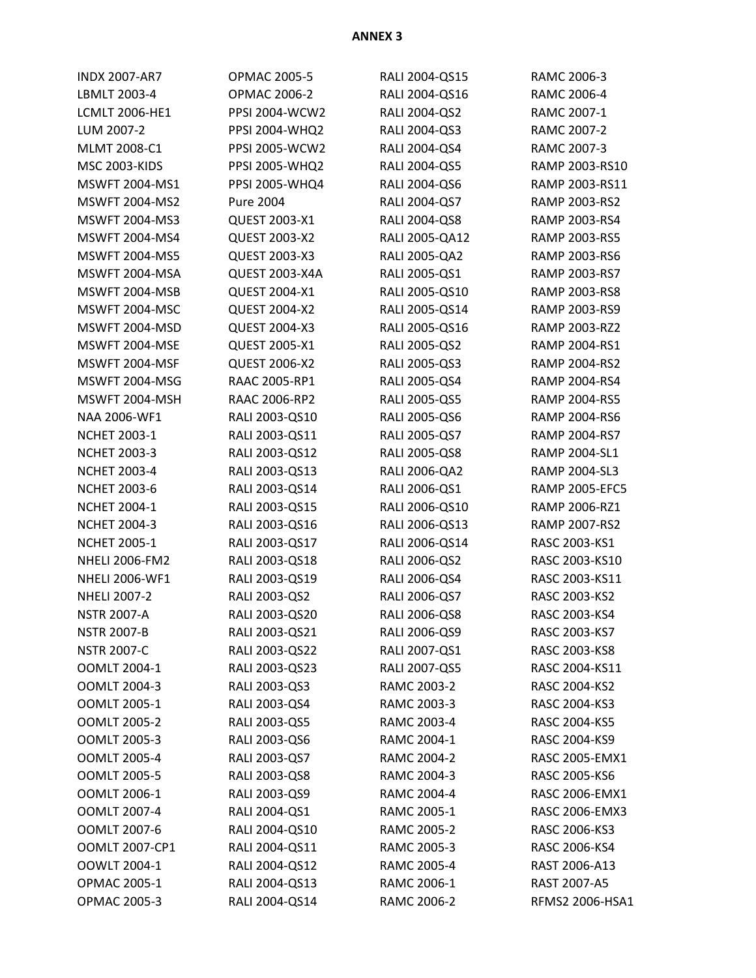| <b>INDX 2007-AR7</b>  | OPMAC 2005-5          | RALI 2004-QS15       | RAMC 2006-3           |
|-----------------------|-----------------------|----------------------|-----------------------|
| LBMLT 2003-4          | <b>OPMAC 2006-2</b>   | RALI 2004-QS16       | RAMC 2006-4           |
| <b>LCMLT 2006-HE1</b> | PPSI 2004-WCW2        | RALI 2004-QS2        | RAMC 2007-1           |
| LUM 2007-2            | PPSI 2004-WHQ2        | RALI 2004-QS3        | RAMC 2007-2           |
| MLMT 2008-C1          | PPSI 2005-WCW2        | RALI 2004-QS4        | RAMC 2007-3           |
| <b>MSC 2003-KIDS</b>  | <b>PPSI 2005-WHQ2</b> | RALI 2004-QS5        | RAMP 2003-RS10        |
| MSWFT 2004-MS1        | PPSI 2005-WHQ4        | RALI 2004-QS6        | RAMP 2003-RS11        |
| <b>MSWFT 2004-MS2</b> | Pure 2004             | RALI 2004-QS7        | RAMP 2003-RS2         |
| <b>MSWFT 2004-MS3</b> | <b>QUEST 2003-X1</b>  | <b>RALI 2004-QS8</b> | RAMP 2003-RS4         |
| <b>MSWFT 2004-MS4</b> | <b>QUEST 2003-X2</b>  | RALI 2005-QA12       | RAMP 2003-RS5         |
| <b>MSWFT 2004-MS5</b> | <b>QUEST 2003-X3</b>  | <b>RALI 2005-QA2</b> | RAMP 2003-RS6         |
| MSWFT 2004-MSA        | <b>QUEST 2003-X4A</b> | RALI 2005-QS1        | RAMP 2003-RS7         |
| MSWFT 2004-MSB        | <b>QUEST 2004-X1</b>  | RALI 2005-QS10       | RAMP 2003-RS8         |
| MSWFT 2004-MSC        | <b>QUEST 2004-X2</b>  | RALI 2005-QS14       | RAMP 2003-RS9         |
| MSWFT 2004-MSD        | <b>QUEST 2004-X3</b>  | RALI 2005-QS16       | RAMP 2003-RZ2         |
| MSWFT 2004-MSE        | <b>QUEST 2005-X1</b>  | RALI 2005-QS2        | RAMP 2004-RS1         |
| MSWFT 2004-MSF        | <b>QUEST 2006-X2</b>  | RALI 2005-QS3        | <b>RAMP 2004-RS2</b>  |
| MSWFT 2004-MSG        | RAAC 2005-RP1         | RALI 2005-QS4        | RAMP 2004-RS4         |
| MSWFT 2004-MSH        | RAAC 2006-RP2         | RALI 2005-QS5        | <b>RAMP 2004-RS5</b>  |
| NAA 2006-WF1          | RALI 2003-QS10        | RALI 2005-QS6        | RAMP 2004-RS6         |
| <b>NCHET 2003-1</b>   | RALI 2003-QS11        | RALI 2005-QS7        | RAMP 2004-RS7         |
| <b>NCHET 2003-3</b>   | RALI 2003-QS12        | RALI 2005-QS8        | RAMP 2004-SL1         |
| <b>NCHET 2003-4</b>   | RALI 2003-QS13        | <b>RALI 2006-QA2</b> | RAMP 2004-SL3         |
| <b>NCHET 2003-6</b>   | RALI 2003-QS14        | RALI 2006-QS1        | <b>RAMP 2005-EFC5</b> |
| <b>NCHET 2004-1</b>   | RALI 2003-QS15        | RALI 2006-QS10       | RAMP 2006-RZ1         |
| <b>NCHET 2004-3</b>   | RALI 2003-QS16        | RALI 2006-QS13       | <b>RAMP 2007-RS2</b>  |
| <b>NCHET 2005-1</b>   | RALI 2003-QS17        | RALI 2006-QS14       | RASC 2003-KS1         |
| <b>NHELI 2006-FM2</b> | RALI 2003-QS18        | RALI 2006-QS2        | RASC 2003-KS10        |
| <b>NHELI 2006-WF1</b> | RALI 2003-QS19        | RALI 2006-QS4        | RASC 2003-KS11        |
| NHELI 2007-2          | RALI 2003-QS2         | RALI 2006-QS7        | RASC 2003-KS2         |
| <b>NSTR 2007-A</b>    | RALI 2003-QS20        | <b>RALI 2006-QS8</b> | RASC 2003-KS4         |
| <b>NSTR 2007-B</b>    | RALI 2003-QS21        | RALI 2006-QS9        | RASC 2003-KS7         |
| <b>NSTR 2007-C</b>    | RALI 2003-QS22        | RALI 2007-QS1        | RASC 2003-KS8         |
| OOMLT 2004-1          | RALI 2003-QS23        | RALI 2007-QS5        | RASC 2004-KS11        |
| OOMLT 2004-3          | RALI 2003-QS3         | RAMC 2003-2          | RASC 2004-KS2         |
| OOMLT 2005-1          | RALI 2003-QS4         | RAMC 2003-3          | RASC 2004-KS3         |
| <b>OOMLT 2005-2</b>   | RALI 2003-QS5         | RAMC 2003-4          | RASC 2004-KS5         |
| OOMLT 2005-3          | RALI 2003-QS6         | RAMC 2004-1          | RASC 2004-KS9         |
| OOMLT 2005-4          | RALI 2003-QS7         | RAMC 2004-2          | RASC 2005-EMX1        |
| OOMLT 2005-5          | RALI 2003-QS8         | RAMC 2004-3          | RASC 2005-KS6         |
| OOMLT 2006-1          | RALI 2003-QS9         | RAMC 2004-4          | RASC 2006-EMX1        |
| OOMLT 2007-4          | RALI 2004-QS1         | RAMC 2005-1          | RASC 2006-EMX3        |
| OOMLT 2007-6          | RALI 2004-QS10        | RAMC 2005-2          | RASC 2006-KS3         |
| OOMLT 2007-CP1        | RALI 2004-QS11        | RAMC 2005-3          | RASC 2006-KS4         |
| OOWLT 2004-1          | RALI 2004-QS12        | RAMC 2005-4          | RAST 2006-A13         |
| OPMAC 2005-1          | RALI 2004-QS13        | RAMC 2006-1          | RAST 2007-A5          |
| OPMAC 2005-3          | RALI 2004-QS14        | RAMC 2006-2          | RFMS2 2006-HSA1       |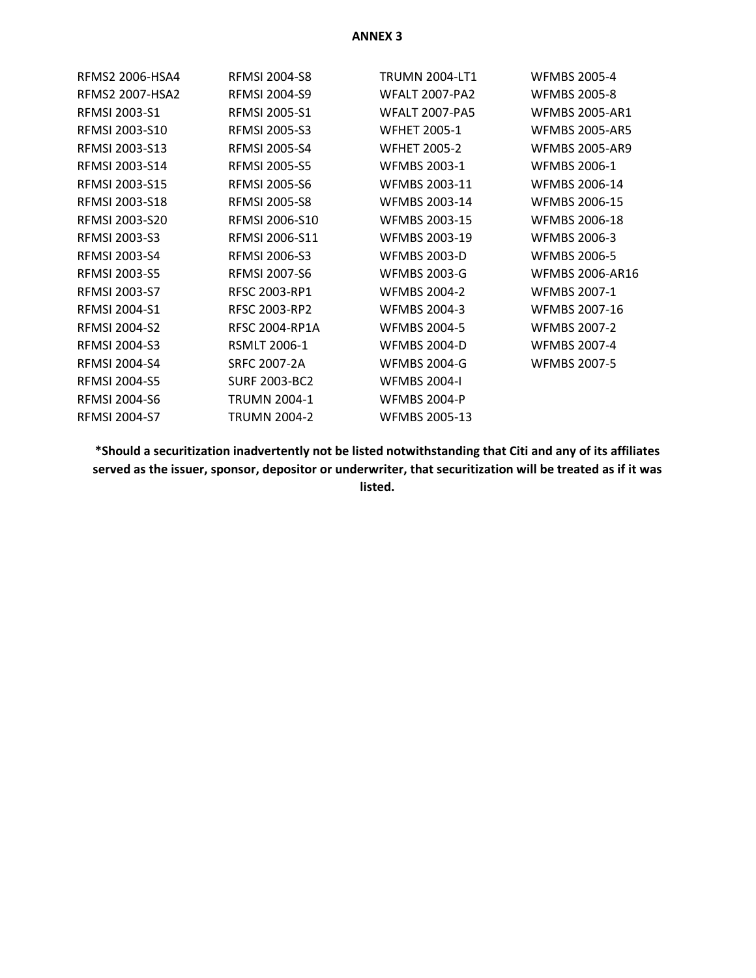| RFMS2 2006-HSA4        | <b>RFMSI 2004-S8</b>  | <b>TRUMN 2004-LT1</b> | <b>WFMBS 2005-4</b>    |
|------------------------|-----------------------|-----------------------|------------------------|
| <b>RFMS2 2007-HSA2</b> | <b>RFMSI 2004-S9</b>  | <b>WFALT 2007-PA2</b> | <b>WFMBS 2005-8</b>    |
| RFMSI 2003-S1          | <b>RFMSI 2005-S1</b>  | <b>WFALT 2007-PA5</b> | <b>WFMBS 2005-AR1</b>  |
| RFMSI 2003-S10         | <b>RFMSI 2005-S3</b>  | <b>WFHET 2005-1</b>   | <b>WFMBS 2005-AR5</b>  |
| RFMSI 2003-S13         | <b>RFMSI 2005-S4</b>  | <b>WFHET 2005-2</b>   | <b>WFMBS 2005-AR9</b>  |
| RFMSI 2003-S14         | <b>RFMSI 2005-S5</b>  | <b>WFMBS 2003-1</b>   | <b>WFMBS 2006-1</b>    |
| <b>RFMSI 2003-S15</b>  | <b>RFMSI 2005-S6</b>  | <b>WFMBS 2003-11</b>  | <b>WFMBS 2006-14</b>   |
| RFMSI 2003-S18         | <b>RFMSI 2005-S8</b>  | WFMBS 2003-14         | <b>WFMBS 2006-15</b>   |
| <b>REMSI 2003-S20</b>  | <b>RFMSI 2006-S10</b> | <b>WFMBS 2003-15</b>  | <b>WFMBS 2006-18</b>   |
| <b>RFMSI 2003-S3</b>   | <b>RFMSI 2006-S11</b> | <b>WFMBS 2003-19</b>  | <b>WFMBS 2006-3</b>    |
| <b>RFMSI 2003-S4</b>   | <b>RFMSI 2006-S3</b>  | <b>WFMBS 2003-D</b>   | <b>WFMBS 2006-5</b>    |
| <b>RFMSI 2003-S5</b>   | <b>RFMSI 2007-S6</b>  | <b>WFMBS 2003-G</b>   | <b>WFMBS 2006-AR16</b> |
| <b>RFMSI 2003-S7</b>   | RFSC 2003-RP1         | <b>WFMBS 2004-2</b>   | WFMBS 2007-1           |
| <b>RFMSI 2004-S1</b>   | <b>RFSC 2003-RP2</b>  | <b>WFMBS 2004-3</b>   | WFMBS 2007-16          |
| <b>RFMSI 2004-S2</b>   | <b>RFSC 2004-RP1A</b> | <b>WFMBS 2004-5</b>   | <b>WFMBS 2007-2</b>    |
| <b>RFMSI 2004-S3</b>   | <b>RSMLT 2006-1</b>   | <b>WFMBS 2004-D</b>   | <b>WFMBS 2007-4</b>    |
| <b>RFMSI 2004-S4</b>   | <b>SRFC 2007-2A</b>   | <b>WFMBS 2004-G</b>   | <b>WFMBS 2007-5</b>    |
| <b>RFMSI 2004-S5</b>   | <b>SURF 2003-BC2</b>  | <b>WFMBS 2004-I</b>   |                        |
| <b>RFMSI 2004-S6</b>   | <b>TRUMN 2004-1</b>   | <b>WFMBS 2004-P</b>   |                        |
| <b>RFMSI 2004-S7</b>   | <b>TRUMN 2004-2</b>   | <b>WFMBS 2005-13</b>  |                        |

**\*Should a securitization inadvertently not be listed notwithstanding that Citi and any of its affiliates served as the issuer, sponsor, depositor or underwriter, that securitization will be treated as if it was listed.**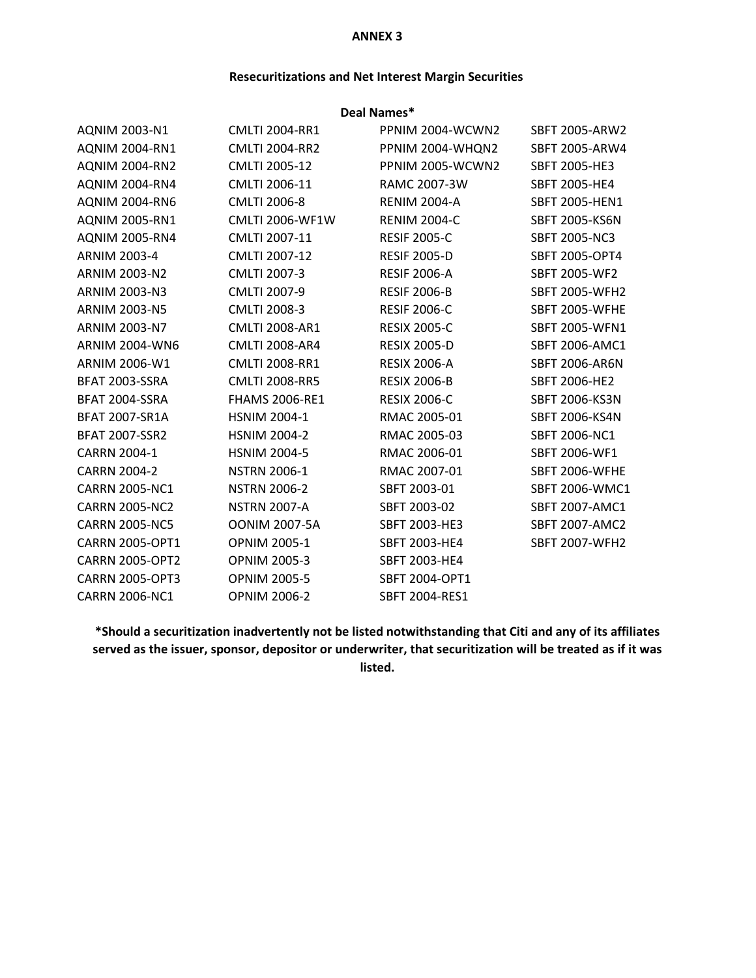## **Resecuritizations and Net Interest Margin Securities**

| Deal Names*            |                        |                       |                       |  |
|------------------------|------------------------|-----------------------|-----------------------|--|
| AQNIM 2003-N1          | <b>CMLTI 2004-RR1</b>  | PPNIM 2004-WCWN2      | <b>SBFT 2005-ARW2</b> |  |
| <b>AQNIM 2004-RN1</b>  | <b>CMLTI 2004-RR2</b>  | PPNIM 2004-WHQN2      | <b>SBFT 2005-ARW4</b> |  |
| <b>AQNIM 2004-RN2</b>  | CMLTI 2005-12          | PPNIM 2005-WCWN2      | <b>SBFT 2005-HE3</b>  |  |
| <b>AQNIM 2004-RN4</b>  | CMLTI 2006-11          | RAMC 2007-3W          | <b>SBFT 2005-HE4</b>  |  |
| <b>AQNIM 2004-RN6</b>  | <b>CMLTI 2006-8</b>    | <b>RENIM 2004-A</b>   | <b>SBFT 2005-HEN1</b> |  |
| <b>AQNIM 2005-RN1</b>  | <b>CMLTI 2006-WF1W</b> | <b>RENIM 2004-C</b>   | <b>SBFT 2005-KS6N</b> |  |
| <b>AQNIM 2005-RN4</b>  | CMLTI 2007-11          | <b>RESIF 2005-C</b>   | <b>SBFT 2005-NC3</b>  |  |
| <b>ARNIM 2003-4</b>    | CMLTI 2007-12          | <b>RESIF 2005-D</b>   | <b>SBFT 2005-OPT4</b> |  |
| <b>ARNIM 2003-N2</b>   | CMLTI 2007-3           | <b>RESIF 2006-A</b>   | SBFT 2005-WF2         |  |
| <b>ARNIM 2003-N3</b>   | CMLTI 2007-9           | <b>RESIF 2006-B</b>   | <b>SBFT 2005-WFH2</b> |  |
| <b>ARNIM 2003-N5</b>   | CMLTI 2008-3           | <b>RESIF 2006-C</b>   | SBFT 2005-WFHE        |  |
| <b>ARNIM 2003-N7</b>   | <b>CMLTI 2008-AR1</b>  | <b>RESIX 2005-C</b>   | <b>SBFT 2005-WFN1</b> |  |
| <b>ARNIM 2004-WN6</b>  | <b>CMLTI 2008-AR4</b>  | <b>RESIX 2005-D</b>   | <b>SBFT 2006-AMC1</b> |  |
| ARNIM 2006-W1          | <b>CMLTI 2008-RR1</b>  | <b>RESIX 2006-A</b>   | <b>SBFT 2006-AR6N</b> |  |
| BFAT 2003-SSRA         | <b>CMLTI 2008-RR5</b>  | <b>RESIX 2006-B</b>   | <b>SBFT 2006-HE2</b>  |  |
| BFAT 2004-SSRA         | <b>FHAMS 2006-RE1</b>  | <b>RESIX 2006-C</b>   | <b>SBFT 2006-KS3N</b> |  |
| <b>BFAT 2007-SR1A</b>  | <b>HSNIM 2004-1</b>    | RMAC 2005-01          | <b>SBFT 2006-KS4N</b> |  |
| <b>BFAT 2007-SSR2</b>  | <b>HSNIM 2004-2</b>    | RMAC 2005-03          | SBFT 2006-NC1         |  |
| CARRN 2004-1           | <b>HSNIM 2004-5</b>    | RMAC 2006-01          | SBFT 2006-WF1         |  |
| <b>CARRN 2004-2</b>    | <b>NSTRN 2006-1</b>    | RMAC 2007-01          | SBFT 2006-WFHE        |  |
| <b>CARRN 2005-NC1</b>  | <b>NSTRN 2006-2</b>    | SBFT 2003-01          | SBFT 2006-WMC1        |  |
| <b>CARRN 2005-NC2</b>  | <b>NSTRN 2007-A</b>    | SBFT 2003-02          | <b>SBFT 2007-AMC1</b> |  |
| <b>CARRN 2005-NC5</b>  | <b>OONIM 2007-5A</b>   | <b>SBFT 2003-HE3</b>  | <b>SBFT 2007-AMC2</b> |  |
| <b>CARRN 2005-OPT1</b> | OPNIM 2005-1           | SBFT 2003-HE4         | <b>SBFT 2007-WFH2</b> |  |
| <b>CARRN 2005-OPT2</b> | <b>OPNIM 2005-3</b>    | SBFT 2003-HE4         |                       |  |
| <b>CARRN 2005-OPT3</b> | <b>OPNIM 2005-5</b>    | SBFT 2004-OPT1        |                       |  |
| <b>CARRN 2006-NC1</b>  | <b>OPNIM 2006-2</b>    | <b>SBFT 2004-RES1</b> |                       |  |

**\*Should a securitization inadvertently not be listed notwithstanding that Citi and any of its affiliates served as the issuer, sponsor, depositor or underwriter, that securitization will be treated as if it was listed.**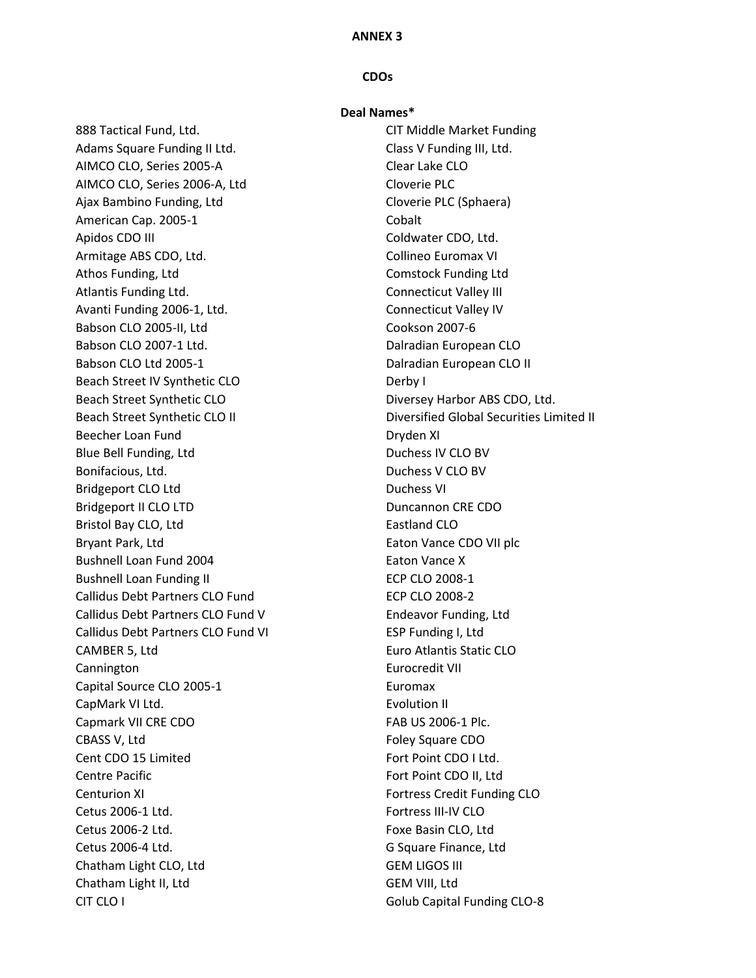### **CDOs**

#### **Deal Names\***

888 Tactical Fund, Ltd. CIT Middle Market Funding Adams Square Funding II Ltd. Class V Funding III, Ltd. AIMCO CLO, Series 2005-A Clear Lake CLO AIMCO CLO, Series 2006-A, Ltd Cloverie PLC Ajax Bambino Funding, Ltd Cloverie PLC (Sphaera) American Cap. 2005-1 Cobalt Apidos CDO III Coldwater CDO, Ltd. Armitage ABS CDO, Ltd. Collineo Euromax VI Athos Funding, Ltd Comstock Funding Ltd Atlantis Funding Ltd. **Connecticut Valley III** Connecticut Valley III Avanti Funding 2006-1, Ltd. Connecticut Valley IV Babson CLO 2005-II, Ltd Cookson 2007-6 Babson CLO 2007-1 Ltd. Dalradian European CLO Babson CLO Ltd 2005-1 Dalradian European CLO II Beach Street IV Synthetic CLO Derby I Beach Street Synthetic CLO **Diversey Harbor ABS CDO, Ltd.** Beach Street Synthetic CLO II Diversified Global Securities Limited II Beecher Loan Fund Dryden XI Blue Bell Funding, Ltd Duchess IV CLO BV Bonifacious, Ltd. **Bonifacious**, Ltd. **Duchess V CLO BV** Bridgeport CLO Ltd Duchess VI Bridgeport II CLO LTD Duncannon CRE CDO Bristol Bay CLO, Ltd **Eastland CLO** Bryant Park, Ltd **Eaton Vance CDO VII plc** Eaton Vance CDO VII plc Bushnell Loan Fund 2004 **Eaton Vance X** Bushnell Loan Funding II ECP CLO 2008-1 Callidus Debt Partners CLO Fund ECP CLO 2008‐2 Callidus Debt Partners CLO Fund V Fund Tendeavor Funding, Ltd Callidus Debt Partners CLO Fund VI ESP Funding I, Ltd CAMBER 5, Ltd **Euro Atlantis Static CLO** Cannington Eurocredit VII Capital Source CLO 2005-1 Euromax CapMark VI Ltd. **Evolution II** Capmark VII CRE CDO FAB US 2006-1 Plc. CBASS V, Ltd Foley Square CDO Cent CDO 15 Limited Fort Point CDO I Ltd. Centre Pacific **Fort Point CDO II, Ltd Centurion XI Centurion XI Fortress Credit Funding CLO** Cetus 2006‐1 Ltd. Fortress III‐IV CLO Cetus 2006-2 Ltd. Foxe Basin CLO, Ltd Cetus 2006‐4 Ltd. G Square Finance, Ltd Chatham Light CLO, Ltd GEM LIGOS III Chatham Light II, Ltd GEM VIII, Ltd CIT CLO I Golub Capital Funding CLO-8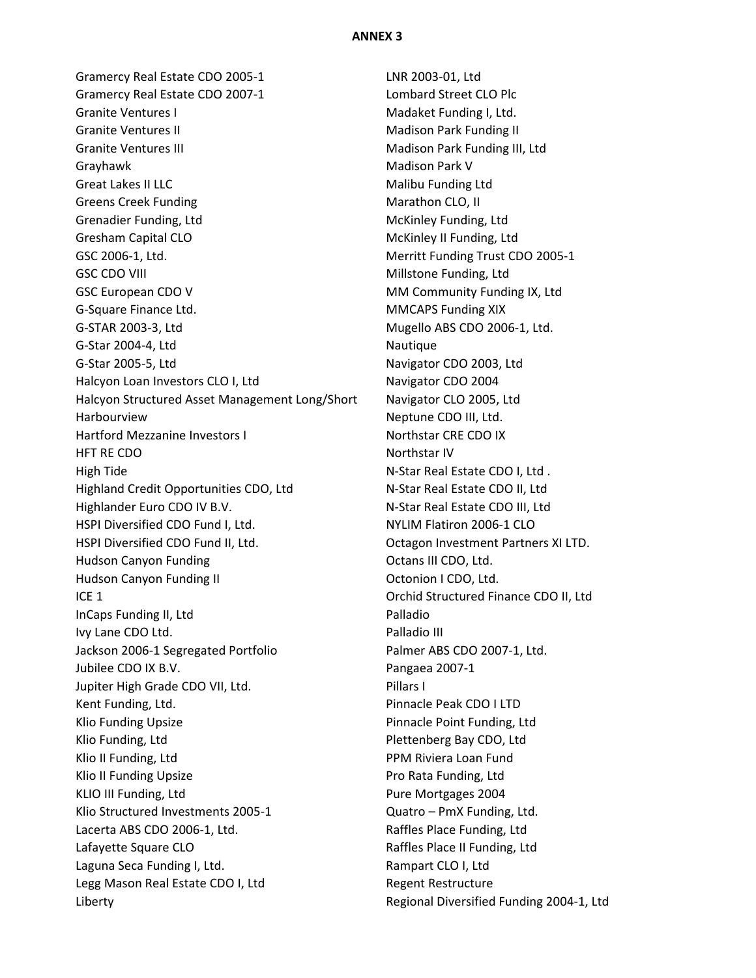Gramercy Real Estate CDO 2005-1 LNR 2003-01, Ltd Gramercy Real Estate CDO 2007-1 Lombard Street CLO Plc Granite Ventures I Madaket Funding I, Ltd. Granite Ventures II and a state of the Madison Park Funding II and Madison Park Funding II Granite Ventures III and a state of the Madison Park Funding III, Ltd Grayhawk Madison Park V Great Lakes II LLC **Container and Container Container Container Container Container Container Container Container** Greens Creek Funding Marathon CLO, II Grenadier Funding, Ltd McKinley Funding, Ltd Gresham Capital CLO **McKinley II Funding, Ltd** GSC 2006-1, Ltd. Merritt Funding Trust CDO 2005-1 GSC CDO VIII **Millstone Funding, Ltd** GSC European CDO V **MM** Community Funding IX, Ltd G-Square Finance Ltd. MGCAPS Funding XIX G-STAR 2003-3, Ltd Mugello ABS CDO 2006-1, Ltd. G-Star 2004-4, Ltd Nautique G-Star 2005-5, Ltd Navigator CDO 2003, Ltd Halcyon Loan Investors CLO I, Ltd Navigator CDO 2004 Halcyon Structured Asset Management Long/Short Navigator CLO 2005, Ltd Harbourview **Neptune CDO III, Ltd.** Hartford Mezzanine Investors I Northstar CRE CDO IX HFT RE CDO Northstar IV High Tide New York Real Estate CDO I, Ltd . Highland Credit Opportunities CDO, Ltd N-Star Real Estate CDO II, Ltd Highlander Euro CDO IV B.V. N-Star Real Estate CDO III, Ltd HSPI Diversified CDO Fund I, Ltd. NET NET NYLIM Flatiron 2006-1 CLO HSPI Diversified CDO Fund II, Ltd. Contagon Investment Partners XI LTD. Hudson Canyon Funding The Control of Canadian Cortains III CDO, Ltd. Hudson Canyon Funding II Canyon Funding II CDO, Ltd. ICE 1 Orchid Structured Finance CDO II, Ltd InCaps Funding II, Ltd Palladio Ivy Lane CDO Ltd. **Palladio III** Jackson 2006‐1 Segregated Portfolio Palmer ABS CDO 2007‐1, Ltd. Jubilee CDO IX B.V. Pangaea 2007-1 Jupiter High Grade CDO VII, Ltd. **Pillars I** Kent Funding, Ltd. Pinnacle Peak CDO I LTD Klio Funding Upsize **Pinnacle Point Funding, Ltd** Pinnacle Point Funding, Ltd Klio Funding, Ltd Plettenberg Bay CDO, Ltd Klio II Funding, Ltd **PPM Riviera Loan Fund** Klio II Funding Upsize **Pro Rata Funding, Ltd** KLIO III Funding, Ltd **Pure Mortgages 2004** Klio Structured Investments 2005-1 Cuatro – PmX Funding, Ltd. Lacerta ABS CDO 2006-1, Ltd. And Raffles Place Funding, Ltd Lafayette Square CLO **Raffles Place II Funding, Ltd** Laguna Seca Funding I, Ltd. **Rampart CLO I**, Ltd Legg Mason Real Estate CDO I, Ltd Regent Restructure Liberty Regional Diversified Funding 2004‐1, Ltd